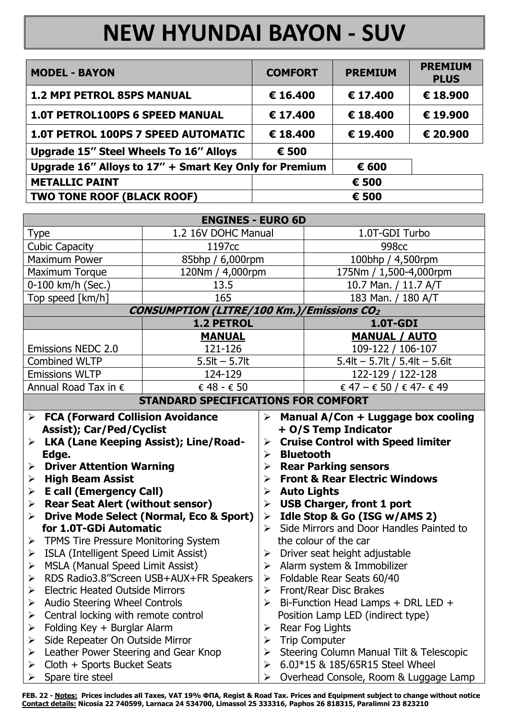## **NEW HYUNDAI BAYON - SUV**

| <b>MODEL - BAYON</b>                                   | <b>COMFORT</b> | <b>PREMIUM</b> | <b>PREMIUM</b><br><b>PLUS</b> |
|--------------------------------------------------------|----------------|----------------|-------------------------------|
| <b>1.2 MPI PETROL 85PS MANUAL</b>                      | € 16.400       | € 17.400       | € 18.900                      |
| <b>1.0T PETROL100PS 6 SPEED MANUAL</b>                 | € 17.400       | € 18.400       | € 19.900                      |
| <b>1.0T PETROL 100PS 7 SPEED AUTOMATIC</b>             | € 18.400       | € 19.400       | € 20.900                      |
| <b>Upgrade 15" Steel Wheels To 16" Alloys</b>          | € 500          |                |                               |
| Upgrade 16" Alloys to 17" + Smart Key Only for Premium | € 600          |                |                               |
| <b>METALLIC PAINT</b>                                  | € 500          |                |                               |
| <b>TWO TONE ROOF (BLACK ROOF)</b>                      |                | € 500          |                               |

| <b>ENGINES - EURO 6D</b>                                                                                                                                                                                                           |                     |                                                                                                                                                                                                                                                                               |                                   |  |  |  |
|------------------------------------------------------------------------------------------------------------------------------------------------------------------------------------------------------------------------------------|---------------------|-------------------------------------------------------------------------------------------------------------------------------------------------------------------------------------------------------------------------------------------------------------------------------|-----------------------------------|--|--|--|
| <b>Type</b>                                                                                                                                                                                                                        | 1.2 16V DOHC Manual |                                                                                                                                                                                                                                                                               | 1.0T-GDI Turbo                    |  |  |  |
| <b>Cubic Capacity</b>                                                                                                                                                                                                              | 1197cc              |                                                                                                                                                                                                                                                                               | 998 <sub>cc</sub>                 |  |  |  |
| <b>Maximum Power</b>                                                                                                                                                                                                               | 85bhp / 6,000rpm    |                                                                                                                                                                                                                                                                               | 100bhp / 4,500rpm                 |  |  |  |
| Maximum Torque                                                                                                                                                                                                                     | 120Nm / 4,000rpm    |                                                                                                                                                                                                                                                                               | 175Nm / 1,500-4,000rpm            |  |  |  |
| 0-100 km/h (Sec.)                                                                                                                                                                                                                  | 13.5                |                                                                                                                                                                                                                                                                               | 10.7 Man. / 11.7 A/T              |  |  |  |
| Top speed [km/h]                                                                                                                                                                                                                   | 165                 |                                                                                                                                                                                                                                                                               | 183 Man. / 180 A/T                |  |  |  |
| <b>CONSUMPTION (LITRE/100 Km.)/Emissions CO2</b>                                                                                                                                                                                   |                     |                                                                                                                                                                                                                                                                               |                                   |  |  |  |
|                                                                                                                                                                                                                                    | <b>1.2 PETROL</b>   |                                                                                                                                                                                                                                                                               | 1.0T-GDI                          |  |  |  |
|                                                                                                                                                                                                                                    | <b>MANUAL</b>       |                                                                                                                                                                                                                                                                               | <b>MANUAL / AUTO</b>              |  |  |  |
| <b>Emissions NEDC 2.0</b>                                                                                                                                                                                                          | 121-126             |                                                                                                                                                                                                                                                                               | 109-122 / 106-107                 |  |  |  |
| <b>Combined WLTP</b>                                                                                                                                                                                                               | $5.5$ lt $-5.7$ lt  |                                                                                                                                                                                                                                                                               | 5.4lt $-$ 5.7lt / 5.4lt $-$ 5.6lt |  |  |  |
| <b>Emissions WLTP</b>                                                                                                                                                                                                              | 124-129             |                                                                                                                                                                                                                                                                               | 122-129 / 122-128                 |  |  |  |
| Annual Road Tax in €                                                                                                                                                                                                               | € 48 - € 50         |                                                                                                                                                                                                                                                                               | € 47 – € 50 / € 47- € 49          |  |  |  |
| <b>STANDARD SPECIFICATIONS FOR COMFORT</b>                                                                                                                                                                                         |                     |                                                                                                                                                                                                                                                                               |                                   |  |  |  |
| <b>FCA (Forward Collision Avoidance</b><br>$\blacktriangleright$<br><b>Assist); Car/Ped/Cyclist</b><br>LKA (Lane Keeping Assist); Line/Road-<br>➤<br>Edge.<br>$\triangleright$ Driver Attention Warning<br><b>High Beam Assist</b> |                     | $\triangleright$ Manual A/Con + Luggage box cooling<br>+ O/S Temp Indicator<br><b>Cruise Control with Speed limiter</b><br>➤<br><b>Bluetooth</b><br>$\blacktriangleright$<br><b>Rear Parking sensors</b><br>➤<br><b>Front &amp; Rear Electric Windows</b><br>$\triangleright$ |                                   |  |  |  |
| $\blacktriangleright$<br><b>E</b> call (Emergency Call)<br>$\blacktriangleright$                                                                                                                                                   |                     | <b>Auto Lights</b><br>➤                                                                                                                                                                                                                                                       |                                   |  |  |  |
| <b>Rear Seat Alert (without sensor)</b><br>➤                                                                                                                                                                                       |                     | <b>USB Charger, front 1 port</b>                                                                                                                                                                                                                                              |                                   |  |  |  |

 $\triangleright$  Idle Stop & Go (ISG w/AMS 2)

the colour of the car

 $\triangleright$  Driver seat height adjustable

 $\triangleright$  Alarm system & Immobilizer

 $\triangleright$  Foldable Rear Seats 60/40

 $\triangleright$  Front/Rear Disc Brakes

 $\triangleright$  Rear Fog Lights

**Trip Computer** 

 $\triangleright$  Side Mirrors and Door Handles Painted to

 $\triangleright$  Bi-Function Head Lamps + DRL LED +

6.0J\*15 & 185/65R15 Steel Wheel

Steering Column Manual Tilt & Telescopic

Overhead Console, Room & Luggage Lamp

Position Lamp LED (indirect type)

- $\triangleright$  Rear Seat Alert (without sensor)
- $\triangleright$  Drive Mode Select (Normal, Eco & Sport) for 1.0T-GDi Automatic
- > TPMS Tire Pressure Monitoring System
- $\triangleright$  ISLA (Intelligent Speed Limit Assist)
- > MSLA (Manual Speed Limit Assist)
- > RDS Radio3.8"Screen USB+AUX+FR Speakers
- $\triangleright$  Electric Heated Outside Mirrors
- > Audio Steering Wheel Controls
- $\triangleright$  Central locking with remote control
- $\triangleright$  Folding Key + Burglar Alarm
- > Side Repeater On Outside Mirror
- Leather Power Steering and Gear Knop  $\blacktriangleright$
- Cloth + Sports Bucket Seats  $\blacktriangleright$
- Spare tire steel

FEB. 22 - Notes: Prices includes all Taxes, VAT 19% ΦΠΑ, Regist & Road Tax. Prices and Equipment subject to change without notice Contact details: Nicosia 22 740599, Larnaca 24 534700, Limassol 25 333316, Paphos 26 818315, Paralimni 23 823210

 $\blacktriangleright$ 

 $\blacktriangleright$ 

 $\blacktriangleright$